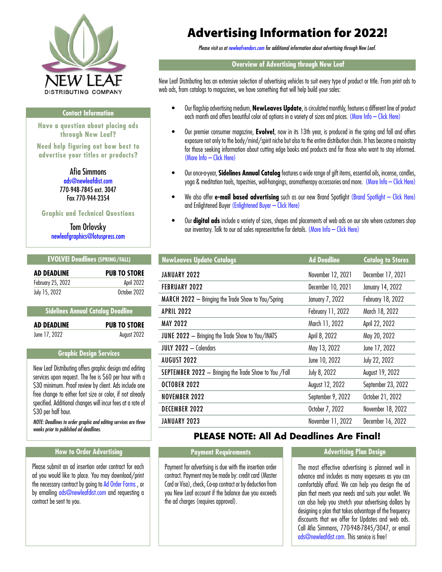<span id="page-0-0"></span>

#### **Contact Information**

**Have a question about placing ads through New Leaf?** 

**Need help figuring out how best to advertise your titles or products?**

> Afia Simmons [ads@newleafdist.com](mailto:ads%40newleafdist.com?subject=)  770-948-7845 ext. 3047 Fax 770-944-2354

#### **Graphic and Technical Questions**

Tom Orlovsky [newleafgraphics@lotuspress.com](mailto:newleafgraphics%40lotuspress.com?subject=)

## **EVOLVE! Deadlines (SPRING/FALL)**

| <b>AD DEADLINE</b> | <b>PUB TO STORE</b> |
|--------------------|---------------------|
| February 25, 2022  | April 2022          |
| July 15, 2022      | October 2022        |

#### **Sidelines Annual Catalog Deadline**

| <b>AD DEADLINE</b> | <b>PUB TO STORE</b> |
|--------------------|---------------------|
| June 17, 2022      | August 2022         |

## **Graphic Design Services**

New Leaf Distributing offers graphic design and editing services upon request. The fee is \$60 per hour with a \$30 minimum. Proof review by client. Ads include one free change to either font size or color, if not already specified. Additional changes will incur fees at a rate of \$30 per half hour.

*NOTE: Deadlines to order graphic and editing services are three weeks prior to published ad deadlines.*

## **How to Order Advertising The Payment Requirements Advertising Plan Design**

Please submit an ad insertion order contract for each ad you would like to place. You may download/print the necessary contract by going to [Ad Order Forms](https://newleafvendors.com/promo/adorderforms) , or by emailing [ads@newleafdist.com](mailto:ads%40newleafdist.com?subject=) and requesting a contract be sent to you.

## Advertising Information for 2022!

*Please visit us at [newleafvendors.com](http://newleafvendors.com) for additional information about advertising through New Leaf.*

## **Overview of Advertising through New Leaf**

New Leaf Distributing has an extensive selection of advertising vehicles to suit every type of product or title. From print ads to web ads, from catalogs to magazines, we have something that will help build your sales:

- Our flagship advertising medium, **NewLeaves Update**, is circulated monthly, features a different line of product each month and offers beautiful color ad options in a variety of sizes and prices. [\(More Info – Click Here\)](#page-1-0)
- Our premier consumer magazine, **Evolve!**, now in its 13th year, is produced in the spring and fall and offers exposure not only to the body/mind/spirit niche but also to the entire distribution chain. It has become a mainstay for those seeking information about cutting edge books and products and for those who want to stay informed. [\(More Info – Click Here\)](#page-2-0)
- Our once-a-year, **Sidelines Annual Catalog** features a wide range of gift items, essential oils, incense, candles, yoga & meditation tools, tapestries, wall-hangings, aromatherapy accessories and more. [\(More Info – Click Here\)](#page-2-0)
- We also offer **e-mail based advertising** such as our new Brand Spotlight [\(Brand Spotlight Click Here\)](#page-4-0)  and Enlightened Buyer [\(Enlightened Buyer – Click Here\)](#page-4-0)
- Our **digital ads** include a variety of sizes, shapes and placements of web ads on our site where customers shop our inventory. Talk to our ad sales representative for details. [\(More Info – Click Here\)](#page-3-0)

| <b>NewLeaves Update Catalogs</b>                             | <b>Ad Deadline</b> | <b>Catalog to Stores</b> |
|--------------------------------------------------------------|--------------------|--------------------------|
| JANUARY 2022                                                 | November 12, 2021  | December 17, 2021        |
| <b>FEBRUARY 2022</b>                                         | December 10, 2021  | January 14, 2022         |
| <b>MARCH 2022</b> $-$ Bringing the Trade Show to You/Spring  | January 7, 2022    | February 18, 2022        |
| <b>APRIL 2022</b>                                            | February 11, 2022  | March 18, 2022           |
| <b>MAY 2022</b>                                              | March 11, 2022     | April 22, 2022           |
| <b>JUNE 2022</b> - Bringing the Trade Show to You/INATS      | April 8, 2022      | May 20, 2022             |
| JULY 2022 - Calendars                                        | May 13, 2022       | June 17, 2022            |
| <b>AUGUST 2022</b>                                           | June 10, 2022      | July 22, 2022            |
| <b>SEPTEMBER 2022</b> - Bringing the Trade Show to You /Fall | July 8, 2022       | August 19, 2022          |
| OCTOBER 2022                                                 | August 12, 2022    | September 23, 2022       |
| <b>NOVEMBER 2022</b>                                         | September 9, 2022  | October 21, 2022         |
| <b>DECEMBER 2022</b>                                         | October 7, 2022    | November 18, 2022        |
| JANUARY 2023                                                 | November 11, 2022  | December 16, 2022        |

## **PLEASE NOTE: All Ad Deadlines Are Final!**

Payment for advertising is due with the insertion order contract. Payment may be made by: credit card (Master Card or Visa), check, Co-op contract or by deduction from you New Leaf account if the balance due you exceeds the ad charges (requires approval).

The most effective advertising is planned well in advance and includes as many exposures as you can comfortably afford. We can help you design the ad plan that meets your needs and suits your wallet. We can also help you stretch your advertising dollars by designing a plan that takes advantage of the frequency discounts that we offer for Updates and web ads. Call Afia Simmons, 770-948-7845/3047, or email [ads@newleafdist.com](mailto:ads%40newleafdist.com?subject=). This service is free!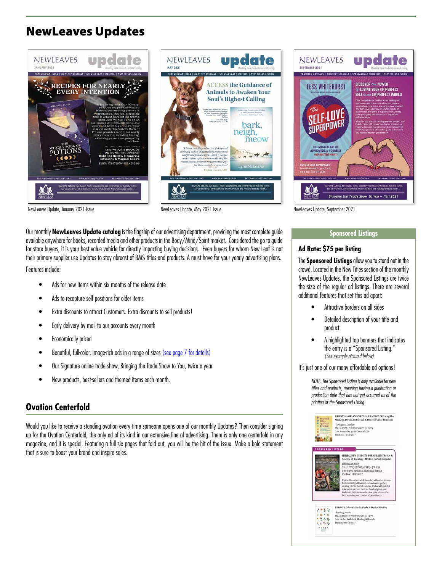## <span id="page-1-0"></span>NewLeaves Updates





NewLeaves Update, January 2021 Issue NewLeaves Update, May 2021 Issue NewLeaves Update, September 2021

Our monthly **NewLeaves Update catalog** is the flagship of our advertising department, providing the most complete guide available anywhere for books, recorded media and other products in the Body/Mind/Spirit market. Considered the go to guide for store buyers, it is your best value vehicle for directly impacting buying decisions. Even buyers for whom New Leaf is not their primary supplier use Updates to stay abreast of BMS titles and products. A must have for your yearly advertising plans.

Features include:

- Ads for new items within six months of the release date
- Ads to recapture self positions for older items
- Extra discounts to attract Customers. Extra discounts to sell products!
- Early delivery by mail to our accounts every month
- Economically priced
- Beautiful, full-color, image-rich ads in a range of sizes [\(see page 7 for details\)](#page-6-0)
- Our Signature online trade show, Bringing the Trade Show to You, twice a year
- New products, best-sellers and themed items each month.

## **Ovation Centerfold**

Would you like to receive a standing ovation every time someone opens one of our monthly Updates? Then consider signing up for the Ovation Centerfold, the only ad of its kind in our extensive line of advertising. There is only one centerfold in any magazine, and it is special. Featuring a full six pages that fold out, you will be the hit of the issue. Make a bold statement that is sure to boost your brand and inspire sales.



## **Sponsored Listings**

## **Ad Rate: \$75 per listing**

The **Sponsored Listings** allow you to stand out in the crowd. Located in the New Titles section of the monthly NewLeaves Updates, the Sponsored Listings are twice the size of the regular ad listings. There are several additional features that set this ad apart:

- Attractive borders on all sides
- Detailed description of your title and product
- A highlighted top banners that indicates the entry is a "Sponsored Listing." *(See example pictured below)*

It's just one of our many affordable ad options!

*NOTE: The Sponsored Listing is only available for new titles and products, meaning having a publication or production date that has not yet occurred as of the printing of the Sponsored Listing.*

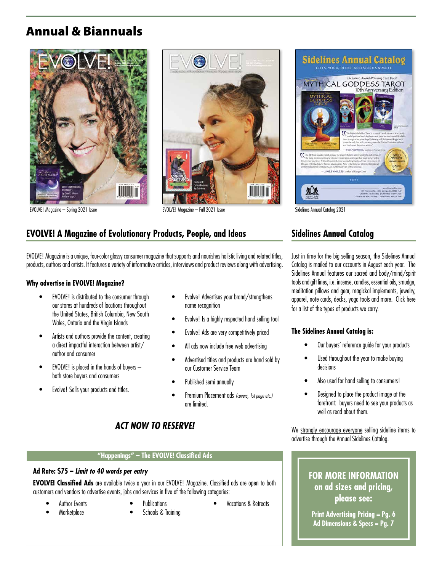## <span id="page-2-0"></span>Annual & Biannuals





EVOLVE! Magazine – Spring 2021 Issue EVOLVE! Magazine – Fall 2021 Issue Sidelines Annual Catalog 2021

## **EVOLVE! A Magazine of Evolutionary Products, People, and Ideas**

EVOLVE! Magazine is a unique, four-color glossy consumer magazine that supports and nourishes holistic living and related titles, products, authors and artists. It features a variety of informative articles, interviews and product reviews along with advertising.

## **Why advertise in EVOLVE! Magazine?**

- EVOLVE! is distributed to the consumer through our stores at hundreds of locations throughout the United States, British Columbia, New South Wales, Ontario and the Virgin Islands
- Artists and authors provide the content, creating a direct impactful interaction between artist/ author and consumer
- EVOLVE! is placed in the hands of buyers both store buyers and consumers
- Evolve! Sells your products and titles.
- Evolve! Advertises your brand/strengthens name recognition
- Evolve! Is a highly respected hand selling tool
- Evolve! Ads are very competitively priced
- All ads now include free web advertising
- Advertised titles and products are hand sold by our Customer Service Team
- Published semi annually
- Premium Placement ads *(covers, 1st page etc.)* are limited.

## *ACT NOW TO RESERVE!*

## **"Happenings" – The EVOLVE! Classified Ads**

#### **Ad Rate: \$75 –** *Limit to 40 words per entry*

**EVOLVE! Classified Ads** are available twice a year in our EVOLVE! Magazine. Classified ads are open to both customers and vendors to advertise events, jobs and services in five of the following categories:

- Author Events
- Marketplace
- **Publications** Schools & Training
- Vacations & Retreats

# Sidelines Annual Catalog The Lonic, Award Winning Card Deck! 415 Thoroton Rd, Lithia Springs, CA<br>Office Ph: 770 548.7845 | Office Fax<br>all-free Ph: 808.356.3645 | Toll-free Eax:

## **Sidelines Annual Catalog**

Just in time for the big selling season, the Sidelines Annual Catalog is mailed to our accounts in August each year. The Sidelines Annual features our sacred and body/mind/spirit tools and gift lines, i.e. incense, candles, essential oils, smudge, meditation pillows and gear, magickal implements, jewelry, apparel, note cards, decks, yoga tools and more. Click here for a list of the types of products we carry.

## **The Sidelines Annual Catalog is:**

- Our buyers' reference guide for your products
- Used throughout the year to make buying decisions
- Also used for hand selling to consumers!
- Designed to place the product image at the forefront: buyers need to see your products as well as read about them.

We strongly encourage everyone selling sideline items to advertise through the Annual Sidelines Catalog.

## **FOR MORE INFORMATION on ad sizes and pricing, please see:**

**Print Advertising Pricing = Pg. 6 Ad Dimensions & Specs = Pg. 7**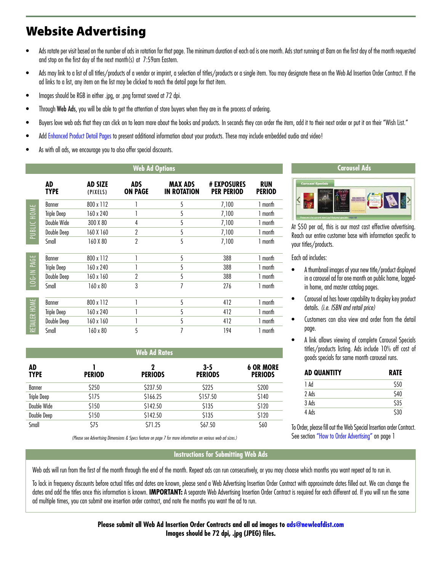## <span id="page-3-0"></span>Website Advertising

- Ads rotate per visit based on the number of ads in rotation for that page. The minimum duration of each ad is one month. Ads start running at 8am on the first day of the month requested and stop on the first day of the next month(s) at 7:59am Eastern.
- Ads may link to a list of all titles/products of a vendor or imprint, a selection of titles/products or a single item. You may designate these on the Web Ad Insertion Order Contract. If the ad links to a list, any item on the list may be clicked to reach the detail page for that item.
- Images should be RGB in either .jpg, or .png format saved at 72 dpi.
- Through Web Ads, you will be able to get the attention of store buyers when they are in the process of ordering.
- Buyers love web ads that they can click on to learn more about the books and products. In seconds they can order the item, add it to their next order or put it on their "Wish List."
- Add [Enhanced Product Detail Pages](https://newleafvendors.com/enhproddetail) to present additional information about your products. These may include embedded audio and video!
- As with all ads, we encourage you to also offer special discounts.

| <b>AD</b>                | <b>TYPE</b>        | <b>AD SIZE</b><br>(PIXELS) | <b>ADS</b><br><b>ON PAGE</b> | <b>MAX ADS</b><br><b>IN ROTATION</b>                                                                                                                                                                                                              | <b># EXPOSURES</b><br><b>PER PERIOD</b>    | <b>RUN</b><br><b>PERIOD</b>        |
|--------------------------|--------------------|----------------------------|------------------------------|---------------------------------------------------------------------------------------------------------------------------------------------------------------------------------------------------------------------------------------------------|--------------------------------------------|------------------------------------|
|                          | <b>Banner</b>      | 800 x 112                  | 1                            | 5                                                                                                                                                                                                                                                 | 7,100                                      | 1 month                            |
|                          | <b>Triple Deep</b> | 160 x 240                  | 1                            | 5                                                                                                                                                                                                                                                 | 7,100                                      | 1 month                            |
| PUBLIC HOME              | Double Wide        | 300 X 80                   | 4                            | 5                                                                                                                                                                                                                                                 | 7,100                                      | 1 month                            |
|                          | Double Deep        | 160 X 160                  | $\overline{2}$               | 5                                                                                                                                                                                                                                                 | 7,100                                      | 1 month                            |
| Small                    |                    | 160 X 80                   | $\overline{2}$               | 5                                                                                                                                                                                                                                                 | 7,100                                      | 1 month                            |
|                          | Banner             | 800 x 112                  | 1                            | 5                                                                                                                                                                                                                                                 | 388                                        | 1 month                            |
| LOG-IN PAGE              | <b>Triple Deep</b> | 160 x 240                  | 1                            | 5                                                                                                                                                                                                                                                 | 388                                        | 1 month                            |
|                          | Double Deep        | 160 x 160                  | $\overline{2}$               | 5                                                                                                                                                                                                                                                 | 388                                        | 1 month                            |
| Small                    |                    | 160 x 80                   | 3                            | $\overline{1}$                                                                                                                                                                                                                                    | 276                                        | 1 month                            |
|                          | Banner             | 800 x 112                  | 1                            | 5                                                                                                                                                                                                                                                 | 412                                        | 1 month                            |
| RETAILER HOME            | <b>Triple Deep</b> | 160 x 240                  | 1                            | 5                                                                                                                                                                                                                                                 | 412                                        | 1 month                            |
|                          | Double Deep        | 160 x 160                  | 1                            | 5                                                                                                                                                                                                                                                 | 412                                        | 1 month                            |
| Small                    |                    | 160 x 80                   | 5                            | $\overline{7}$                                                                                                                                                                                                                                    | 194                                        | 1 month                            |
|                          |                    |                            | <b>Web Ad Rates</b>          |                                                                                                                                                                                                                                                   |                                            |                                    |
| <b>AD</b><br><b>TYPE</b> |                    | L<br><b>PERIOD</b>         | 2<br><b>PERIODS</b>          |                                                                                                                                                                                                                                                   | $3 - 5$<br><b>PERIODS</b>                  | <b>6 OR MORE</b><br><b>PERIODS</b> |
| Banner                   |                    | \$250                      | \$237.50                     |                                                                                                                                                                                                                                                   | \$225                                      | \$200                              |
| <b>Triple Deep</b>       |                    | \$175                      | \$166.25                     |                                                                                                                                                                                                                                                   | \$157.50                                   | \$140                              |
| Double Wide              |                    | \$150                      | \$142.50                     |                                                                                                                                                                                                                                                   | \$135                                      | \$120                              |
| Double Deep              |                    | \$150                      | \$142.50                     |                                                                                                                                                                                                                                                   | \$135                                      | \$120                              |
| Small                    |                    | \$75                       | \$71.25                      |                                                                                                                                                                                                                                                   | \$67.50                                    | \$60                               |
|                          |                    |                            |                              | (Please see Advertising Dimensions & Specs feature on page 7 for more information on various web ad sizes.)                                                                                                                                       |                                            |                                    |
|                          |                    |                            |                              |                                                                                                                                                                                                                                                   | <b>Instructions for Submitting Web Ads</b> |                                    |
|                          |                    |                            |                              | Web ads will run from the first of the month through the end of the month. Repeat ads can run consecutively, or you may                                                                                                                           |                                            |                                    |
|                          |                    |                            |                              | To lock in frequency discounts before actual titles and dates are known, please send a Web Advertising Insertion Order Co<br>dates and add the titles once this information is known. IMPORTANT: A separate Web Advertising Insertion Order Contr |                                            |                                    |

|                    |               | <b>Web Ad Rates</b> |                       |                                    |
|--------------------|---------------|---------------------|-----------------------|------------------------------------|
| AD<br><b>TYPE</b>  | <b>PERIOD</b> | מ<br><b>PERIODS</b> | 3-5<br><b>PERIODS</b> | <b>6 OR MORE</b><br><b>PERIODS</b> |
| Banner             | \$250         | \$237.50            | \$225                 | \$200                              |
| <b>Triple Deep</b> | \$175         | \$166.25            | \$157.50              | \$140                              |
| Double Wide        | \$150         | \$142.50            | \$135                 | \$120                              |
| Double Deep        | \$150         | \$142.50            | \$135                 | \$120                              |
| Small              | \$75          | \$71.25             | \$67.50               | \$60                               |

## **Instructions for Submitting Web Ads**



To lock in frequency discounts before actual titles and dates are known, please send a Web Advertising Insertion Order Contract with approximate dates filled out. We can change the dates and add the titles once this information is known. **IMPORTANT:** A separate Web Advertising Insertion Order Contract is required for each different ad. If you will run the same<br>ad multiple times, you can submit one in



At \$50 per ad, this is our most cost effective advertising. Reach our entire customer base with information specific to your titles/products.

Each ad includes:

- A thumbnail images of your new title/product displayed in a carousel ad for one month on public home, loggedin home, and master catalog pages.
- Carousel ad has hover capability to display key product details. *(i.e. ISBN and retail price)*
- Customers can also view and order from the detail page.
- A link allows viewing of complete Carousel Specials titles/products listing. Ads include 10% off cost of goods specials for same month carousel runs.

| <b>AD QUANTITY</b> | RATE                    |
|--------------------|-------------------------|
| hA I               | \$50                    |
| 2 Ads              | $\overline{540}$        |
| $3$ Ads            | $\overline{\text{S}35}$ |
| 4 Ads              | \$30                    |

To Order, please fill out the Web Special Insertion order Contract. See section ["How to Order Advertising"](#page-0-0) on page 1

**Please submit all Web Ad Insertion Order Contracts and all ad images to [ads@newleafdist.com](mailto:ads%40newleafdist.com%20%20?subject=) Images should be 72 dpi, .jpg (JPEG) files.**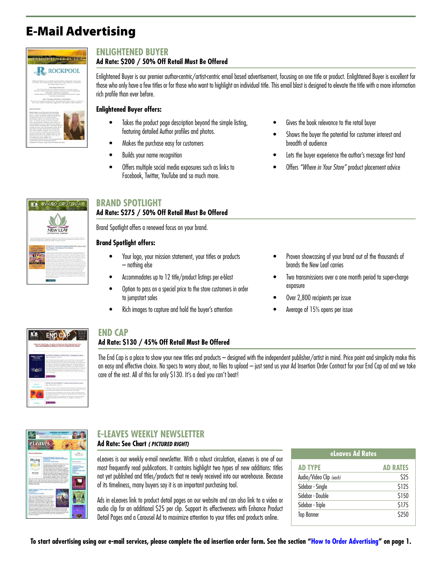# <span id="page-4-0"></span>E-Mail Advertising

| <b>NEIGHTENED BUYER</b><br><b>MOUNT IN PERIMPTION CONTAINS</b><br><b>ROCKPOOL</b>                                                                                                                                                                                                                                                                                                                                                                                                                                                                                                                                                                                                                                                                                                                                                                                                                                                                                                                                                                                                                                                           |  |
|---------------------------------------------------------------------------------------------------------------------------------------------------------------------------------------------------------------------------------------------------------------------------------------------------------------------------------------------------------------------------------------------------------------------------------------------------------------------------------------------------------------------------------------------------------------------------------------------------------------------------------------------------------------------------------------------------------------------------------------------------------------------------------------------------------------------------------------------------------------------------------------------------------------------------------------------------------------------------------------------------------------------------------------------------------------------------------------------------------------------------------------------|--|
| The design of the first company of planets. The Samuel Politics is computed by<br>Resignal Automobile and construction received and construction is entered upon.<br>deck down, and it address from part purch. Trade factburter to handback a<br>Make Whate Hunder in this 11 W.<br>the country designation and the<br>To pull to a substitution make a self-excited and face it a structure service.<br>1 The factor column do excellenced promised at a tensoral telephone includes that<br>the control of a market business and suspension of the control of<br>Painted development in a consider that you develop show the construction of the con-<br>- I have fun in this must now<br>والمؤثر بالربان<br>BATT THE WARE RECAPEUL PUBLISHING<br>. The many at trust adds, we had that the name denoted cattering meters, a construction<br>that is not in. Happy but a give project resign data, it and sufficient address endowment.                                                                                                                                                                                                  |  |
| .<br><b>STATISTICS</b><br><b>Alance that Author:</b><br>Tracks determine to have of them constants make transmissed<br>Millings, This is fire pather of buying a book pather.<br>boost an excluir interioral, publications for lets<br>two consistent which may have sentings mixing or<br>performance except let the installate of the insular<br>SELF-Translated clayments to discuss a receiver<br>make and consultance candidates to has however in<br>bushed Whitford Guinestow their Cort 2020 without<br>texting schearers and personated. There sales ago also<br>studented in lowest of the material selected business are that<br>tical initial of Lubbar and Aubie W's plastice last<br>turies, but this, backers continuing all because pinnones.<br>hards and selection percentains, documents are every<br>pregrams assured the worst. Unesteing week from her<br>artist's largest colors in majority costs, sink is now at<br>administrated orbit, analyze banker and<br>humanity of the art army. He senated execute<br>Fulnit being a actit move briding studies.<br>includes to be an experiment building of rich-<br>--- |  |

## **ENLIGHTENED BUYER**

## **Ad Rate: \$200 / 50% Off Retail Must Be Offered**

Enlightened Buyer is our premier author-centric/artist-centric email based advertisement, focusing on one title or product. Enlightened Buyer is excellent for those who only have a few titles or for those who want to highlight an individual title. This email blast is designed to elevate the title with a more information rich profile than ever before.

#### **Enlightened Buyer offers:**

- Takes the product page description beyond the simple listing, featuring detailed Author profiles and photos.
- Makes the purchase easy for customers
- Builds your name recognition
- Offers multiple social media exposures such as links to Facebook, Twitter, YouTube and so much more.
- Gives the book relevance to the retail buyer
- Shows the buyer the potential for customer interest and breadth of audience
- Lets the buyer experience the author's message first hand
- Offers *"Where in Your Store"* product placement advice

|                  | BRAND SPOTLIGHT<br>LL POEZ LICE                                                                                                                                                                                                                                                                                                                                                                                                                                                                                                                                                                                                                                                                                                                                                                                                                                                                                                                                                                                                                                  |
|------------------|------------------------------------------------------------------------------------------------------------------------------------------------------------------------------------------------------------------------------------------------------------------------------------------------------------------------------------------------------------------------------------------------------------------------------------------------------------------------------------------------------------------------------------------------------------------------------------------------------------------------------------------------------------------------------------------------------------------------------------------------------------------------------------------------------------------------------------------------------------------------------------------------------------------------------------------------------------------------------------------------------------------------------------------------------------------|
|                  |                                                                                                                                                                                                                                                                                                                                                                                                                                                                                                                                                                                                                                                                                                                                                                                                                                                                                                                                                                                                                                                                  |
|                  | <b>JEW LEAI</b><br><b>NUTING OF</b>                                                                                                                                                                                                                                                                                                                                                                                                                                                                                                                                                                                                                                                                                                                                                                                                                                                                                                                                                                                                                              |
| <b>COLONIAL</b>  | 18 Top Achievel allows of Third Business and Methodological Photoshop Hilbert and<br>Philadelphia and a ball and substantial<br>THE APRO CUBAN DIVINOSIN, 194<br>with Card                                                                                                                                                                                                                                                                                                                                                                                                                                                                                                                                                                                                                                                                                                                                                                                                                                                                                       |
| <b>NAPTITION</b> | the state colored by the collection containing on the collection of a third of the<br>have that some grow timbra. Forces also to the minimize team better.<br>commercial standings that interesting designations the spaces, that Principal Children's a<br>there at insulated it compares to draw contracting the department.<br>former at more students tool of the belling time. The change statute is distributed<br>the Monte State but consider that income a seriously considerable to the first<br>account analysis The Machiner Will, front is a determined further and a                                                                                                                                                                                                                                                                                                                                                                                                                                                                               |
|                  | means to do your finance we must an one account in the acceptive stages are at entry<br>an excited and manager that the international for a paint in the transit dealer in the color of the paint of<br>an and point after an electronic column as an electronic active process that begins that<br>allowed at a late for though a the painting factory of anyther the sales?<br>analyze bureau this booth of their four policient is the Water Action to contributed and<br>against to the brancount who makes short namely art the said adders of<br>after at was the product which of the time state north state within the state.<br>began The based of the Color Congress with back aware accura-<br>when we have not to the foreign or monthly strong. Also be a secret in<br>fully the form of the company and company of the company and the company of the<br>are not copy a result of the control of the service of the service and the service are<br>Auto with similar forced complete discussion will life fillingate street to this decay lacks as |
|                  | and all the states                                                                                                                                                                                                                                                                                                                                                                                                                                                                                                                                                                                                                                                                                                                                                                                                                                                                                                                                                                                                                                               |

## **BRAND SPOTLIGHT Ad Rate: \$275 / 50% Off Retail Must Be Offered**

Brand Spotlight offers a renewed focus on your brand.

## **Brand Spotlight offers:**

- Your logo, your mission statement, your titles or products – nothing else
- Accommodates up to 12 title/product listings per e-blast
- Option to pass on a special price to the store customers in order to jumpstart sales
- Rich images to capture and hold the buyer's attention
- Proven showcasing of your brand out of the thousands of brands the New Leaf carries
- Two transmissions over a one month period to super-charge exposure
- Over 2,800 recipients per issue
- Average of 15% opens per issue

| to End Cap, the place in find leve tries and products from                                                                                                                                                                                                                                                                                                                                                                                                                                                                                                                                                                                                                                                                                  |
|---------------------------------------------------------------------------------------------------------------------------------------------------------------------------------------------------------------------------------------------------------------------------------------------------------------------------------------------------------------------------------------------------------------------------------------------------------------------------------------------------------------------------------------------------------------------------------------------------------------------------------------------------------------------------------------------------------------------------------------------|
| New Leaf Draktboting, Windmare 44% off of retail for this wo<br><b>CONTRACTOR</b><br><b>U.P. ET 3: IGRAEL AUSSIL 00Y, THE MANUSCRIP</b><br>to i para con<br>This is Markets have been for \$220. It is a disc to believe a fronty manufac-<br>bills can divine manual the cause of any count manuscript of                                                                                                                                                                                                                                                                                                                                                                                                                                  |
| president Matchusk and real city of painting of the last track as the permeter day.<br>promise his trust sharing top site receipt a spin country's politicia did.<br>term diddled Leasting the Language of Hummings. This assists dubbling any<br>has compared a show to start in relation to private further and the states of the species<br>man and the for stor is and in cash of its Trimman McAustras and in<br>determines at the boundary lands of their grant than added gallers. For land<br>in Autorities explosions and states by the specializate spacing analysis and the<br>make all for an of matter time and startly top loan' to may handle matterings deci-<br>all an industry would<br><b>CONTRACTOR</b><br><b>STREE</b> |
| ATHE TO THE MEMOTE Freding high Second In-<br>$+40.1$ m<br>or financial art delivery rest office minimize in the detector and is follow<br>or frequent of the mode. Figure is notice than it prime and considerable transitions.                                                                                                                                                                                                                                                                                                                                                                                                                                                                                                            |
| depart can a half it ablance that and do release and classes wall.<br>the without fish and without site with notice of what's selecting proven<br>any pay for rise for an an an except and or restaural advance applications.<br>tackerbon tennisting, c. (1) a control<br>the art term in our de automobiles that devoted assured the marks.<br>attacking accumulation between an destiny car from pris. a section for any                                                                                                                                                                                                                                                                                                                 |

## **END CAP**

## **Ad Rate: \$130 / 45% Off Retail Must Be Offered**

The End Cap is a place to show your new titles and products – designed with the independent publisher/artist in mind. Price point and simplicity make this an easy and effective choice. No specs to worry about, no files to upload – just send us your Ad Insertion Order Contract for your End Cap ad and we take care of the rest. All of this for only \$130. It's a deal you can't beat!



## **E-LEAVES WEEKLY NEWSLETTER Ad Rate: See Chart** *( PICTURED RIGHT)*

eLeaves is our weekly e-mail newsletter. With a robust circulation, eLeaves is one of our most frequently read publications. It contains highlight two types of new additions: titles not yet published and titles/products that re newly received into our warehouse. Because of its timeliness, many buyers say it is an important purchasing tool.

Ads in eLeaves link to product detail pages on our website and can also link to a video or audio clip for an additional \$25 per clip. Support its effectiveness with Enhance Product Detail Pages and a Carousel Ad to maximize attention to your titles and products online.

| eLeaves Ad Rates        |                 |  |  |
|-------------------------|-----------------|--|--|
| <b>AD TYPE</b>          | <b>AD RATES</b> |  |  |
| Audio/Video Clip (each) | \$25            |  |  |
| Sidebar - Single        | \$125           |  |  |
| Sidebar - Double        | \$150           |  |  |
| Sidebar - Triple        | \$175           |  |  |
| <b>Top Banner</b>       | \$250           |  |  |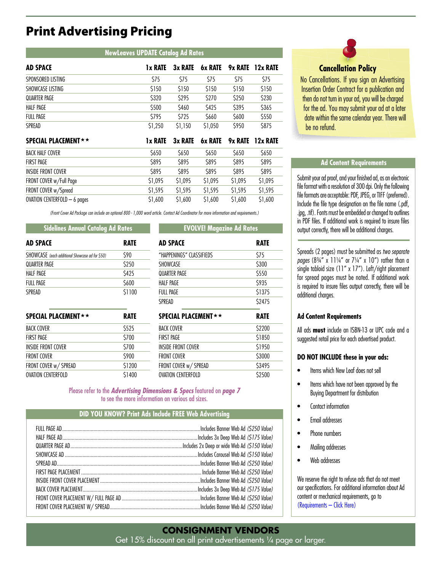## Print Advertising Pricing

| <b>AD SPACE</b>              | 1x RATE        | 3x RATE     | 6x RATE        | 9x RATE     | 12x RATE |
|------------------------------|----------------|-------------|----------------|-------------|----------|
| SPONSORED LISTING            | \$75           | \$75        | \$75           | \$75        | \$75     |
| SHOWCASE LISTING             | \$150          | \$150       | \$150          | \$150       | \$150    |
| QUARTER PAGE                 | \$320          | \$295       | \$270          | \$250       | \$230    |
| <b>HALF PAGE</b>             | \$500          | \$460       | \$425          | \$395       | \$365    |
| <b>FULL PAGE</b>             | \$795          | \$725       | \$660          | \$600       | \$550    |
| SPREAD                       | \$1,250        | \$1,150     | \$1,050        | \$950       | \$875    |
| <b>SPECIAL PLACEMENT ★★</b>  | <b>1x RATE</b> | 3x RATE     | <b>6x RATE</b> | 9x RATE     | 12x RATE |
| <b>BACK HALF COVER</b>       | \$650          | \$650       | \$650          | \$650       | \$650    |
| <b>FIRST PAGE</b>            | \$895          | <b>S895</b> | <b>S895</b>    | <b>S895</b> | \$895    |
| <b>INSIDE FRONT COVER</b>    | <b>S895</b>    | \$895       | \$895          | <b>S895</b> | \$895    |
| FRONT COVER w/Full Page      | \$1,095        | \$1,095     | \$1,095        | \$1,095     | \$1,095  |
| FRONT COVER w/Spread         | \$1,595        | \$1,595     | \$1,595        | \$1,595     | \$1,595  |
| OVATION CENTERFOLD - 6 pages | \$1,600        | \$1,600     | \$1,600        | \$1,600     | \$1,600  |

**NewLeaves UPDATE Catalog Ad Rates**

*(Front Cover Ad Package can include an optional 800 - 1,000 word article. Contact Ad Coordinator for more information and requirements.)*

## **Sidelines Annual Catalog Ad Rates EVOLVE! Magazine Ad Rates**

| <b>AD SPACE</b>                                 | <b>RATE</b> |
|-------------------------------------------------|-------------|
| SHOWCASE (each additional Showcase ad for \$50) | \$90        |
| QUARTER PAGE                                    | \$250       |
| HALF PAGE                                       | <b>S425</b> |
| FULL PAGE                                       | \$600       |
| <b>SPRFAD</b>                                   | \$1100      |

| <b>SPECIAL PLACEMENT ★★</b> | RATE   |
|-----------------------------|--------|
| <b>BACK COVER</b>           | \$525  |
| <b>FIRST PAGE</b>           | \$700  |
| <b>INSIDE FRONT COVER</b>   | \$700  |
| <b>FRONT COVER</b>          | \$900  |
| FRONT COVER w/ SPREAD       | \$1200 |
| <b>OVATION CENTERFOLD</b>   | \$1400 |

| <b>AD SPACE</b>          | <b>RATE</b> |  |  |
|--------------------------|-------------|--|--|
| "HAPPENINGS" CLASSIFIEDS | \$75        |  |  |
| <b>SHOWCASE</b>          | \$300       |  |  |
| QUARTER PAGE             | \$550       |  |  |
| HALF PAGE                | \$935       |  |  |
| FULL PAGE                | \$1375      |  |  |
| <b>SPRFAD</b>            | \$2475      |  |  |

| <b>SPECIAL PLACEMENT</b> ★★ | <b>RATE</b> |
|-----------------------------|-------------|
| <b>BACK COVER</b>           | \$2200      |
| <b>FIRST PAGE</b>           | \$1850      |
| INSIDE FRONT COVER          | \$1950      |
| <b>FRONT COVER</b>          | \$3000      |
| FRONT COVER w/ SPREAD       | \$3495      |
| <b>OVATION CENTERFOLD</b>   | \$2500      |

Please refer to the *Advertising Dimensions & Specs* featured on *page 7* to see the more information on various ad sizes.

## **DID YOU KNOW? Print Ads Include FREE Web Advertising**



## **Cancellation Policy**

No Cancellations. If you sign an Advertising Insertion Order Contract for a publication and then do not turn in your ad, you will be charged for the ad. You may submit your ad at a later date within the same calendar year. There will be no refund.

## **Ad Content Requirements**

Submit your ad proof, and your finished ad, as an electronic file format with a resolution of 300 dpi. Only the following file formats are acceptable: PDF, JPEG, or TIFF (preferred). Include the file type designation on the file name (.pdf, .jpg, .tif). Fonts must be embedded or changed to outlines in PDF files. If additional work is required to insure files output correctly, there will be additional charges.

Spreads (2 pages) must be submitted as *two separate pages* (83/4" x 11 $\frac{1}{4}$ " or  $7\frac{1}{4}$ " x 10") rather than a single tabloid size (11" x 17"). Left/right placement for spread pages must be noted. If additional work is required to insure files output correctly, there will be additional charges.

#### **Ad Content Requirements**

All ads **must** include an ISBN-13 or UPC code and a suggested retail price for each advertised product.

#### **DO NOT INCLUDE these in your ads:**

- Items which New Leaf does not sell
- Items which have not been approved by the Buying Department for distribution
- Contact information
- Email addresses
- Phone numbers
- Mailing addresses
- Web addresses

We reserve the right to refuse ads that do not meet our specifications. For additional information about Ad content or mechanical requirements, go to [\(Requirements – Click Here\)](https://newleafvendors.com/promo/requirementsprintads)